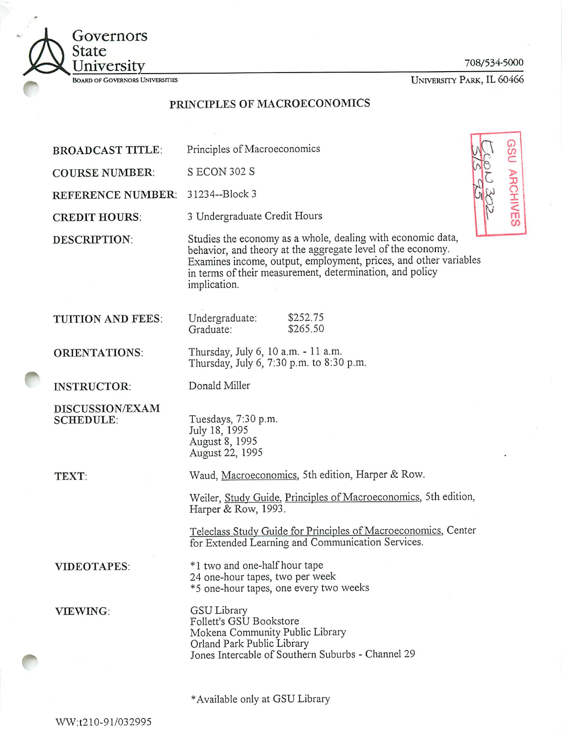

708/534-5000

GSU ARCHIVES

University Park, IL 60466

# *PRINCIPLES OF MACROECONOMICS*

| <b>BROADCAST TITLE:</b>             | Principles of Macroeconomics                                                                                                                                                                                                                                               |
|-------------------------------------|----------------------------------------------------------------------------------------------------------------------------------------------------------------------------------------------------------------------------------------------------------------------------|
| <b>COURSE NUMBER:</b>               | S ECON 302 S                                                                                                                                                                                                                                                               |
| <b>REFERENCE NUMBER:</b>            | 31234--Block 3                                                                                                                                                                                                                                                             |
| <b>CREDIT HOURS:</b>                | 3 Undergraduate Credit Hours                                                                                                                                                                                                                                               |
| <b>DESCRIPTION:</b>                 | Studies the economy as a whole, dealing with economic data,<br>behavior, and theory at the aggregate level of the economy.<br>Examines income, output, employment, prices, and other variables<br>in terms of their measurement, determination, and policy<br>implication. |
| <b>TUITION AND FEES:</b>            | \$252.75<br>Undergraduate:<br>\$265.50<br>Graduate:                                                                                                                                                                                                                        |
| <b>ORIENTATIONS:</b>                | Thursday, July 6, 10 a.m. - 11 a.m.<br>Thursday, July 6, 7:30 p.m. to 8:30 p.m.                                                                                                                                                                                            |
| <b>INSTRUCTOR:</b>                  | Donald Miller                                                                                                                                                                                                                                                              |
| DISCUSSION/EXAM<br><b>SCHEDULE:</b> | Tuesdays, 7:30 p.m.<br>July 18, 1995<br>August 8, 1995<br>August 22, 1995                                                                                                                                                                                                  |
| TEXT:                               | Waud, Macroeconomics, 5th edition, Harper & Row.                                                                                                                                                                                                                           |
|                                     | Weiler, Study Guide, Principles of Macroeconomics, 5th edition,<br>Harper & Row, 1993.                                                                                                                                                                                     |
|                                     | Teleclass Study Guide for Principles of Macroeconomics, Center<br>for Extended Learning and Communication Services.                                                                                                                                                        |
| <b>VIDEOTAPES:</b>                  | *1 two and one-half hour tape<br>24 one-hour tapes, two per week<br>*5 one-hour tapes, one every two weeks                                                                                                                                                                 |
| <b>VIEWING:</b>                     | <b>GSU Library</b><br>Follett's GSU Bookstore<br>Mokena Community Public Library<br>Orland Park Public Library<br>Jones Intercable of Southern Suburbs - Channel 29                                                                                                        |

\*Available only at GSU Library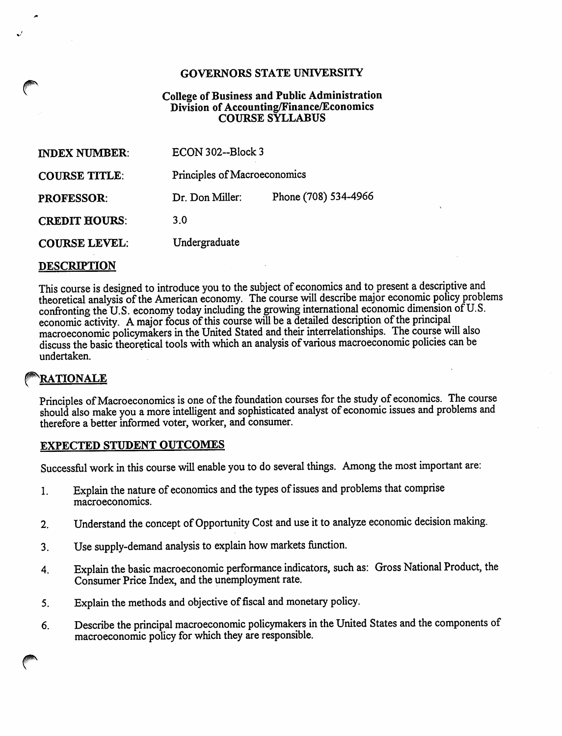#### *GOVERNORS STATE UNIVERSITY*

#### *College of Business and Public Administration Division of Accounting/Finance/Economics COURSE SYLLABUS*

| <b>INDEX NUMBER:</b> | ECON 302--Block 3            |                      |
|----------------------|------------------------------|----------------------|
| <b>COURSE TITLE:</b> | Principles of Macroeconomics |                      |
| <b>PROFESSOR:</b>    | Dr. Don Miller:              | Phone (708) 534-4966 |
| <b>CREDIT HOURS:</b> | 3.0                          |                      |
| <b>COURSE LEVEL:</b> | Undergraduate                |                      |

#### *DESCRIPTION*

This course is designed to introduce you to the subject of economics and to present a descriptive and theoretical analysis of the American economy. The course will describe major economic policy problems confronting the U.S. economy today including the growing international economic dimension of U.S. economic activity. A major focus of this course will be a detailed description of the principal macroeconomic policymakers in the United Stated and their interrelationships. The course will also discuss the basic theoretical tools with which an analysis of various macroeconomic policies can be undertaken.

# *^RATIONALE*

Principles of Macroeconomics is one of the foundation courses for the study of economics. The course should also make you a more intelligent and sophisticated analyst of economic issues and problems and therefore a better informed voter, worker, and consumer.

### *EXPECTED STUDENT OUTCOMES*

Successful work in this course will enable you to do several things. Among the most important are:

- 1. Explain the nature of economics and the types of issues and problems that comprise macroeconomics.
- 2. Understand the concept of Opportunity Cost and use it to analyze economic decision making.
- 3. Use supply-demand analysis to explain how markets function.
- 4. Explain the basic macroeconomic performance indicators, such as: Gross National Product, the Consumer Price Index, and the unemployment rate.
- 5. Explain the methods and objective of fiscal and monetary policy.
- 6. Describe the principal macroeconomic policymakers inthe United States and the components of macroeconomic policy for which they are responsible.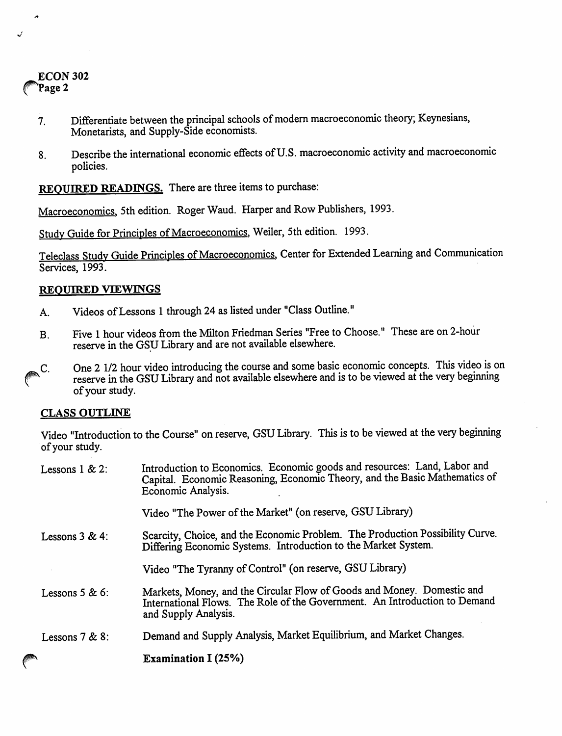## ECON302 Page 2

 $\overline{a}$ 

- 7. Differentiate between the principal schools of modern macroeconomic theory; Keynesians, Monetarists, and Supply-Side economists.
- 8. Describe the international economic effects of U.S. macroeconomic activity and macroeconomic policies.

*REQUIRED READINGS.* There are three items to purchase:

Macroeconomics, 5th edition. Roger Waud. Harper and Row Publishers, 1993.

Study Guide for Principles of Macroeconomics, Weiler, 5th edition. 1993.

Teleclass Study Guide Principles of Macroeconomics, Center for Extended Learning and Communication Services, 1993.

### *REQUIRED VIEWINGS*

- A. Videos of Lessons 1 through 24 as listed under "Class Outline."
- B. Five 1 hour videos from the Milton Friedman Series "Free to Choose." These are on 2-hour reserve in the GSULibrary and are not available elsewhere.
- C. One 2 1/2 hour video introducing the course and some basic economic concepts. This video is on reserve in the GSU Library and not available elsewhere and is to be viewed at the very beginning ofyour study.

## *CLASS OUTLINE*

Video "Introduction to the Course" on reserve, GSU Library. This is to be viewed at the very beginning of your study.

| Lessons $1 & 2$ : | Introduction to Economics. Economic goods and resources: Land, Labor and<br>Capital. Economic Reasoning, Economic Theory, and the Basic Mathematics of<br>Economic Analysis. |
|-------------------|------------------------------------------------------------------------------------------------------------------------------------------------------------------------------|
|                   | Video "The Power of the Market" (on reserve, GSU Library)                                                                                                                    |
| Lessons $3 & 4$ : | Scarcity, Choice, and the Economic Problem. The Production Possibility Curve.<br>Differing Economic Systems. Introduction to the Market System.                              |
|                   | Video "The Tyranny of Control" (on reserve, GSU Library)                                                                                                                     |
| Lessons $5 & 6$ : | Markets, Money, and the Circular Flow of Goods and Money. Domestic and<br>International Flows. The Role of the Government. An Introduction to Demand<br>and Supply Analysis. |
| Lessons $7 & 8$ : | Demand and Supply Analysis, Market Equilibrium, and Market Changes.                                                                                                          |
|                   | <b>Examination I (25%)</b>                                                                                                                                                   |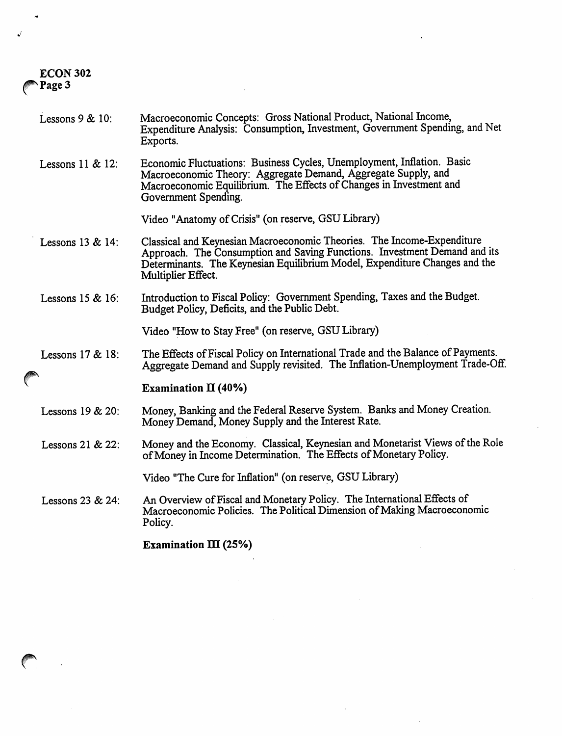## *ECON 302* Page 3

- Lessons 9 & 10: Macroeconomic Concepts: Gross National Product, National Income, Expenditure Analysis: Consumption, Investment, Government Spending, and Net Exports.
- Lessons 11 & 12: Economic Fluctuations: Business Cycles, Unemployment, Inflation. Basic Macroeconomic Theory: Aggregate Demand, Aggregate Supply, and Macroeconomic Equilibrium. The Effects of Changes in Investment and Government Spending.

Video "Anatomy of Crisis" (on reserve, GSULibrary)

- Lessons 13 & 14: Classical and Keynesian Macroeconomic Theories. The Income-Expenditure Approach. The Consumption and Saving Functions. Investment Demand and its Determinants. The Keynesian Equilibrium Model, Expenditure Changes and the Multiplier Effect.
- Lessons 15 & 16: Introductionto Fiscal Policy: Government Spending, Taxes and the Budget. Budget Policy, Deficits, and the Public Debt.

Video "How to Stay Free" (on reserve, GSU Library)

Lessons 17 & 18: The Effects of Fiscal Policy on International Trade and the Balance of Payments. Aggregate Demand and Supply revisited. The Inflation-Unemployment Trade-Off.

#### *Examination II (40%)*

- Lessons 19 & 20: Money, Banking and the Federal Reserve System. Banks and Money Creation. Money Demand, Money Supply and the Interest Rate.
- Lessons 21 & 22: Money and the Economy. Classical, Keynesian and Monetarist Views of the Role of Money in Income Determination. The Effects of Monetary Policy.

Video "The Cure for Inflation" (on reserve, GSU Library)

Lessons 23 & 24: An Overview of Fiscal and Monetary Policy. The International Effects of Macroeconomic Policies. The Political Dimension of Making Macroeconomic Policy.

*Examination m (25%)*

*r*